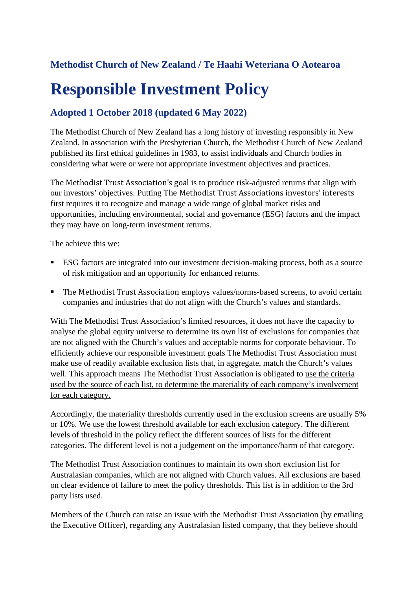# **Methodist Church of New Zealand / Te Haahi Weteriana O Aotearoa**

# **Responsible Investment Policy**

# **Adopted 1 October 2018 (updated 6 May 2022)**

The Methodist Church of New Zealand has a long history of investing responsibly in New Zealand. In association with the Presbyterian Church, the Methodist Church of New Zealand published its first ethical guidelines in 1983, to assist individuals and Church bodies in considering what were or were not appropriate investment objectives and practices.

The Methodist Trust Association's goal is to produce risk-adjusted returns that align with our investors' objectives. Putting The Methodist Trust Associations investors' interests first requires it to recognize and manage a wide range of global market risks and opportunities, including environmental, social and governance (ESG) factors and the impact they may have on long-term investment returns.

The achieve this we:

- **ESG** factors are integrated into our investment decision-making process, both as a source of risk mitigation and an opportunity for enhanced returns.
- The Methodist Trust Association employs values/norms-based screens, to avoid certain companies and industries that do not align with the Church's values and standards.

With The Methodist Trust Association's limited resources, it does not have the capacity to analyse the global equity universe to determine its own list of exclusions for companies that are not aligned with the Church's values and acceptable norms for corporate behaviour. To efficiently achieve our responsible investment goals The Methodist Trust Association must make use of readily available exclusion lists that, in aggregate, match the Church's values well. This approach means The Methodist Trust Association is obligated to use the criteria used by the source of each list, to determine the materiality of each company's involvement for each category.

Accordingly, the materiality thresholds currently used in the exclusion screens are usually 5% or 10%. We use the lowest threshold available for each exclusion category. The different levels of threshold in the policy reflect the different sources of lists for the different categories. The different level is not a judgement on the importance/harm of that category.

The Methodist Trust Association continues to maintain its own short exclusion list for Australasian companies, which are not aligned with Church values. All exclusions are based on clear evidence of failure to meet the policy thresholds. This list is in addition to the 3rd party lists used.

Members of the Church can raise an issue with the Methodist Trust Association (by emailing the Executive Officer), regarding any Australasian listed company, that they believe should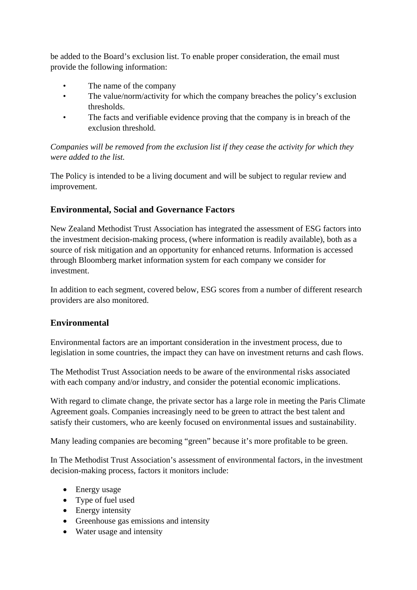be added to the Board's exclusion list. To enable proper consideration, the email must provide the following information:

- The name of the company
- The value/norm/activity for which the company breaches the policy's exclusion thresholds.
- The facts and verifiable evidence proving that the company is in breach of the exclusion threshold.

*Companies will be removed from the exclusion list if they cease the activity for which they were added to the list.*

The Policy is intended to be a living document and will be subject to regular review and improvement.

# **Environmental, Social and Governance Factors**

New Zealand Methodist Trust Association has integrated the assessment of ESG factors into the investment decision-making process, (where information is readily available), both as a source of risk mitigation and an opportunity for enhanced returns. Information is accessed through Bloomberg market information system for each company we consider for investment.

In addition to each segment, covered below, ESG scores from a number of different research providers are also monitored.

# **Environmental**

Environmental factors are an important consideration in the investment process, due to legislation in some countries, the impact they can have on investment returns and cash flows.

The Methodist Trust Association needs to be aware of the environmental risks associated with each company and/or industry, and consider the potential economic implications.

With regard to climate change, the private sector has a large role in meeting the Paris Climate Agreement goals. Companies increasingly need to be green to attract the best talent and satisfy their customers, who are keenly focused on environmental issues and sustainability.

Many leading companies are becoming "green" because it's more profitable to be green.

In The Methodist Trust Association's assessment of environmental factors, in the investment decision-making process, factors it monitors include:

- Energy usage
- Type of fuel used
- Energy intensity
- Greenhouse gas emissions and intensity
- Water usage and intensity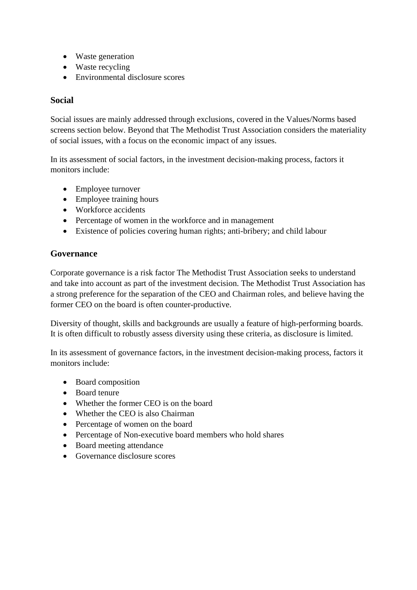- Waste generation
- Waste recycling
- Environmental disclosure scores

### **Social**

Social issues are mainly addressed through exclusions, covered in the Values/Norms based screens section below. Beyond that The Methodist Trust Association considers the materiality of social issues, with a focus on the economic impact of any issues.

In its assessment of social factors, in the investment decision-making process, factors it monitors include:

- Employee turnover
- Employee training hours
- Workforce accidents
- Percentage of women in the workforce and in management
- Existence of policies covering human rights; anti-bribery; and child labour

### **Governance**

Corporate governance is a risk factor The Methodist Trust Association seeks to understand and take into account as part of the investment decision. The Methodist Trust Association has a strong preference for the separation of the CEO and Chairman roles, and believe having the former CEO on the board is often counter-productive.

Diversity of thought, skills and backgrounds are usually a feature of high-performing boards. It is often difficult to robustly assess diversity using these criteria, as disclosure is limited.

In its assessment of governance factors, in the investment decision-making process, factors it monitors include:

- Board composition
- Board tenure
- Whether the former CEO is on the board
- Whether the CEO is also Chairman
- Percentage of women on the board
- Percentage of Non-executive board members who hold shares
- Board meeting attendance
- Governance disclosure scores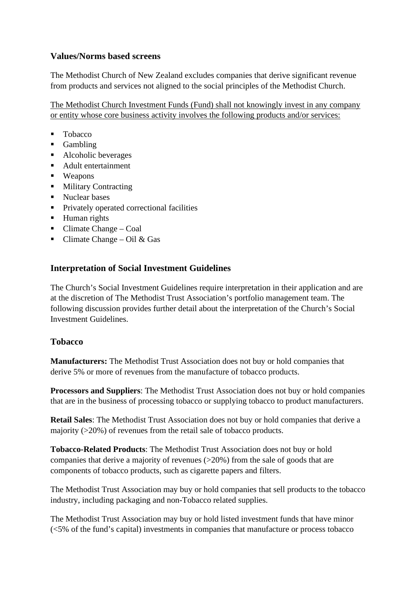# **Values/Norms based screens**

The Methodist Church of New Zealand excludes companies that derive significant revenue from products and services not aligned to the social principles of the Methodist Church.

The Methodist Church Investment Funds (Fund) shall not knowingly invest in any company or entity whose core business activity involves the following products and/or services:

- Tobacco
- **Gambling**
- Alcoholic beverages
- Adult entertainment
- **•** Weapons
- Military Contracting
- Nuclear bases
- Privately operated correctional facilities
- **Human** rights
- $\blacksquare$  Climate Change Coal
- Climate Change Oil & Gas

# **Interpretation of Social Investment Guidelines**

The Church's Social Investment Guidelines require interpretation in their application and are at the discretion of The Methodist Trust Association's portfolio management team. The following discussion provides further detail about the interpretation of the Church's Social Investment Guidelines.

# **Tobacco**

**Manufacturers:** The Methodist Trust Association does not buy or hold companies that derive 5% or more of revenues from the manufacture of tobacco products.

**Processors and Suppliers**: The Methodist Trust Association does not buy or hold companies that are in the business of processing tobacco or supplying tobacco to product manufacturers.

**Retail Sales**: The Methodist Trust Association does not buy or hold companies that derive a majority (>20%) of revenues from the retail sale of tobacco products.

**Tobacco-Related Products**: The Methodist Trust Association does not buy or hold companies that derive a majority of revenues (>20%) from the sale of goods that are components of tobacco products, such as cigarette papers and filters.

The Methodist Trust Association may buy or hold companies that sell products to the tobacco industry, including packaging and non-Tobacco related supplies.

The Methodist Trust Association may buy or hold listed investment funds that have minor (<5% of the fund's capital) investments in companies that manufacture or process tobacco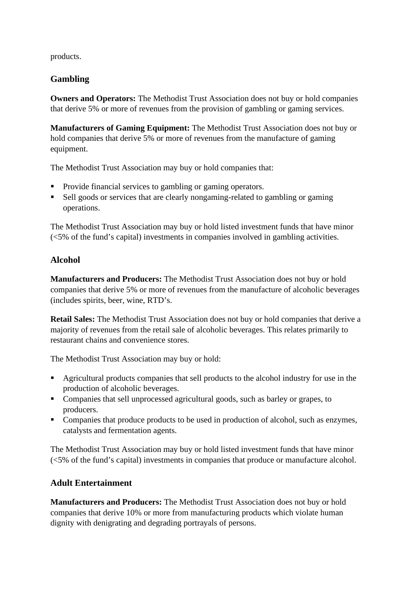products.

# **Gambling**

**Owners and Operators:** The Methodist Trust Association does not buy or hold companies that derive 5% or more of revenues from the provision of gambling or gaming services.

**Manufacturers of Gaming Equipment:** The Methodist Trust Association does not buy or hold companies that derive 5% or more of revenues from the manufacture of gaming equipment.

The Methodist Trust Association may buy or hold companies that:

- Provide financial services to gambling or gaming operators.
- Sell goods or services that are clearly nongaming-related to gambling or gaming operations.

The Methodist Trust Association may buy or hold listed investment funds that have minor (<5% of the fund's capital) investments in companies involved in gambling activities.

# **Alcohol**

**Manufacturers and Producers:** The Methodist Trust Association does not buy or hold companies that derive 5% or more of revenues from the manufacture of alcoholic beverages (includes spirits, beer, wine, RTD's.

**Retail Sales:** The Methodist Trust Association does not buy or hold companies that derive a majority of revenues from the retail sale of alcoholic beverages. This relates primarily to restaurant chains and convenience stores.

The Methodist Trust Association may buy or hold:

- Agricultural products companies that sell products to the alcohol industry for use in the production of alcoholic beverages.
- Companies that sell unprocessed agricultural goods, such as barley or grapes, to producers.
- Companies that produce products to be used in production of alcohol, such as enzymes, catalysts and fermentation agents.

The Methodist Trust Association may buy or hold listed investment funds that have minor (<5% of the fund's capital) investments in companies that produce or manufacture alcohol.

### **Adult Entertainment**

**Manufacturers and Producers:** The Methodist Trust Association does not buy or hold companies that derive 10% or more from manufacturing products which violate human dignity with denigrating and degrading portrayals of persons.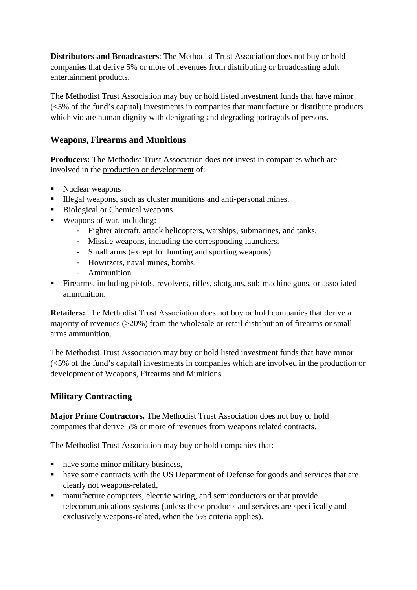**Distributors and Broadcasters**: The Methodist Trust Association does not buy or hold companies that derive 5% or more of revenues from distributing or broadcasting adult entertainment products.

The Methodist Trust Association may buy or hold listed investment funds that have minor (<5% of the fund's capital) investments in companies that manufacture or distribute products which violate human dignity with denigrating and degrading portrayals of persons.

### **Weapons, Firearms and Munitions**

**Producers:** The Methodist Trust Association does not invest in companies which are involved in the production or development of:

- Nuclear weapons
- Illegal weapons, such as cluster munitions and anti-personal mines.
- Biological or Chemical weapons.
- Weapons of war, including:
	- Fighter aircraft, attack helicopters, warships, submarines, and tanks.
	- Missile weapons, including the corresponding launchers.
	- Small arms (except for hunting and sporting weapons).
	- Howitzers, naval mines, bombs.
	- Ammunition.
- Firearms, including pistols, revolvers, rifles, shotguns, sub-machine guns, or associated ammunition.

**Retailers:** The Methodist Trust Association does not buy or hold companies that derive a majority of revenues (>20%) from the wholesale or retail distribution of firearms or small arms ammunition.

The Methodist Trust Association may buy or hold listed investment funds that have minor (<5% of the fund's capital) investments in companies which are involved in the production or development of Weapons, Firearms and Munitions.

### **Military Contracting**

**Major Prime Contractors.** The Methodist Trust Association does not buy or hold companies that derive 5% or more of revenues from weapons related contracts.

The Methodist Trust Association may buy or hold companies that:

- have some minor military business,
- have some contracts with the US Department of Defense for goods and services that are clearly not weapons-related,
- manufacture computers, electric wiring, and semiconductors or that provide telecommunications systems (unless these products and services are specifically and exclusively weapons-related, when the 5% criteria applies).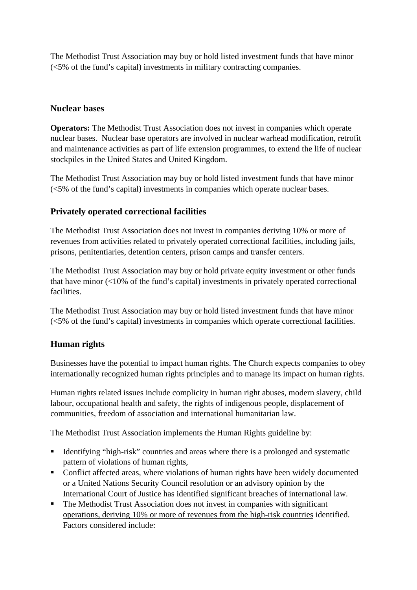The Methodist Trust Association may buy or hold listed investment funds that have minor (<5% of the fund's capital) investments in military contracting companies.

### **Nuclear bases**

**Operators:** The Methodist Trust Association does not invest in companies which operate nuclear bases. Nuclear base operators are involved in nuclear warhead modification, retrofit and maintenance activities as part of life extension programmes, to extend the life of nuclear stockpiles in the United States and United Kingdom.

The Methodist Trust Association may buy or hold listed investment funds that have minor (<5% of the fund's capital) investments in companies which operate nuclear bases.

### **Privately operated correctional facilities**

The Methodist Trust Association does not invest in companies deriving 10% or more of revenues from activities related to privately operated correctional facilities, including jails, prisons, penitentiaries, detention centers, prison camps and transfer centers.

The Methodist Trust Association may buy or hold private equity investment or other funds that have minor (<10% of the fund's capital) investments in privately operated correctional facilities.

The Methodist Trust Association may buy or hold listed investment funds that have minor (<5% of the fund's capital) investments in companies which operate correctional facilities.

### **Human rights**

Businesses have the potential to impact human rights. The Church expects companies to obey internationally recognized human rights principles and to manage its impact on human rights.

Human rights related issues include complicity in human right abuses, modern slavery, child labour, occupational health and safety, the rights of indigenous people, displacement of communities, freedom of association and international humanitarian law.

The Methodist Trust Association implements the Human Rights guideline by:

- Identifying "high-risk" countries and areas where there is a prolonged and systematic pattern of violations of human rights,
- Conflict affected areas, where violations of human rights have been widely documented or a United Nations Security Council resolution or an advisory opinion by the International Court of Justice has identified significant breaches of international law.
- The Methodist Trust Association does not invest in companies with significant operations, deriving 10% or more of revenues from the high-risk countries identified. Factors considered include: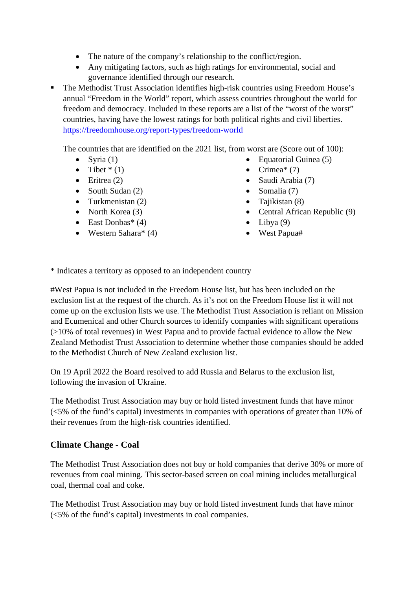- The nature of the company's relationship to the conflict/region.
- Any mitigating factors, such as high ratings for environmental, social and governance identified through our research.
- The Methodist Trust Association identifies high-risk countries using Freedom House's annual "Freedom in the World" report, which assess countries throughout the world for freedom and democracy. Included in these reports are a list of the "worst of the worst" countries, having have the lowest ratings for both political rights and civil liberties. <https://freedomhouse.org/report-types/freedom-world>

The countries that are identified on the 2021 list, from worst are (Score out of 100):

- Syria  $(1)$
- Tibet  $*(1)$
- Eritrea  $(2)$
- South Sudan (2)
- Turkmenistan (2)
- North Korea (3)
- East Donbas\*  $(4)$
- Western Sahara\* (4)
- Equatorial Guinea (5)
	- Crimea\*  $(7)$
	- Saudi Arabia (7)
	- Somalia (7)
	- Tajikistan (8)
	- Central African Republic (9)
	- Libya  $(9)$
	- West Papua#

\* Indicates a territory as opposed to an independent country

#West Papua is not included in the Freedom House list, but has been included on the exclusion list at the request of the church. As it's not on the Freedom House list it will not come up on the exclusion lists we use. The Methodist Trust Association is reliant on Mission and Ecumenical and other Church sources to identify companies with significant operations (>10% of total revenues) in West Papua and to provide factual evidence to allow the New Zealand Methodist Trust Association to determine whether those companies should be added to the Methodist Church of New Zealand exclusion list.

On 19 April 2022 the Board resolved to add Russia and Belarus to the exclusion list, following the invasion of Ukraine.

The Methodist Trust Association may buy or hold listed investment funds that have minor (<5% of the fund's capital) investments in companies with operations of greater than 10% of their revenues from the high-risk countries identified.

# **Climate Change - Coal**

The Methodist Trust Association does not buy or hold companies that derive 30% or more of revenues from coal mining. This sector-based screen on coal mining includes metallurgical coal, thermal coal and coke.

The Methodist Trust Association may buy or hold listed investment funds that have minor (<5% of the fund's capital) investments in coal companies.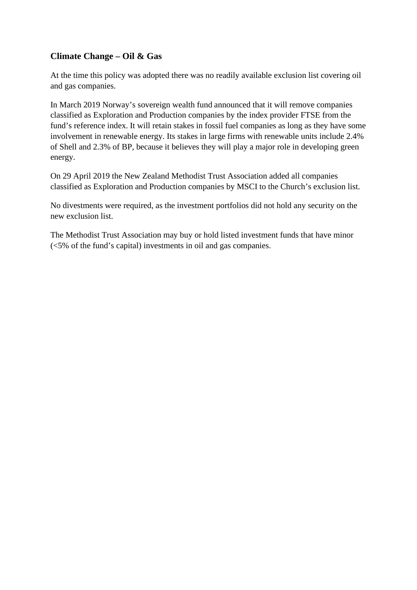# **Climate Change – Oil & Gas**

At the time this policy was adopted there was no readily available exclusion list covering oil and gas companies.

In March 2019 Norway's sovereign wealth fund announced that it will remove companies classified as Exploration and Production companies by the index provider FTSE from the fund's reference index. It will retain stakes in fossil fuel companies as long as they have some involvement in renewable energy. Its stakes in large firms with renewable units include 2.4% of Shell and 2.3% of BP, because it believes they will play a major role in developing green energy.

On 29 April 2019 the New Zealand Methodist Trust Association added all companies classified as Exploration and Production companies by MSCI to the Church's exclusion list.

No divestments were required, as the investment portfolios did not hold any security on the new exclusion list.

The Methodist Trust Association may buy or hold listed investment funds that have minor (<5% of the fund's capital) investments in oil and gas companies.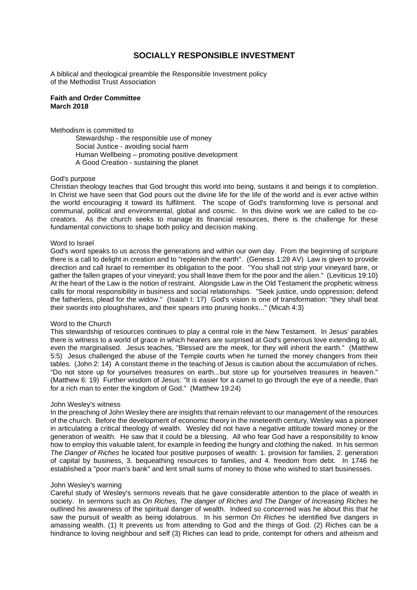### **SOCIALLY RESPONSIBLE INVESTMENT**

A biblical and theological preamble the Responsible Investment policy of the Methodist Trust Association

#### **Faith and Order Committee March 2018**

Methodism is committed to

Stewardship - the responsible use of money Social Justice - avoiding social harm Human Wellbeing – promoting positive development A Good Creation - sustaining the planet

#### God's purpose

Christian theology teaches that God brought this world into being, sustains it and beings it to completion. In Christ we have seen that God pours out the divine life for the life of the world and is ever active within the world encouraging it toward its fulfilment. The scope of God's transforming love is personal and communal, political and environmental, global and cosmic. In this divine work we are called to be cocreators. As the church seeks to manage its financial resources, there is the challenge for these fundamental convictions to shape both policy and decision making.

#### Word to Israel

God's word speaks to us across the generations and within our own day. From the beginning of scripture there is a call to delight in creation and to "replenish the earth". (Genesis 1:28 AV) Law is given to provide direction and call Israel to remember its obligation to the poor. "You shall not strip your vineyard bare, or gather the fallen grapes of your vineyard; you shall leave them for the poor and the alien." (Leviticus 19:10) At the heart of the Law is the notion of restraint. Alongside Law in the Old Testament the prophetic witness calls for moral responsibility in business and social relationships. "Seek justice, undo oppression; defend the fatherless, plead for the widow." (Isaiah I: 17) God's vision is one of transformation: "they shall beat their swords into ploughshares, and their spears into pruning hooks..." (Micah 4:3)

#### Word to the Church

This stewardship of resources continues to play a central role in the New Testament. In Jesus' parables there is witness to a world of grace in which hearers are surprised at God's generous love extending to all, even the marginalised. Jesus teaches, "Blessed are the meek, for they will inherit the earth." (Matthew 5:5) Jesus challenged the abuse of the Temple courts when he turned the money changers from their tables. (John 2: 14) A constant theme in the teaching of Jesus is caution about the accumulation of riches. "Do not store up for yourselves treasures on earth...but store up for yourselves treasures in heaven." (Matthew 6: 19) Further wisdom of Jesus: "It is easier for a camel to go through the eye of a needle, than for a rich man to enter the kingdom of God." (Matthew 19:24)

#### John Wesley's witness

In the preaching of John Wesley there are insights that remain relevant to our management of the resources of the church. Before the development of economic theory in the nineteenth century, Wesley was a pioneer in articulating a critical theology of wealth. Wesley did not have a negative attitude toward money or the generation of wealth. He saw that it could be a blessing. All who fear God have a responsibility to know how to employ this valuable talent, for example in feeding the hungry and clothing the naked. In his sermon *The Danger of Riches* he located four positive purposes of wealth: 1. provision for families, 2. generation of capital by business, 3. bequeathing resources to families, and 4. freedom from debt. In 1746 he established a "poor man's bank" and lent small sums of money to those who wished to start businesses.

#### John Wesley's warning

Careful study of Wesley's sermons reveals that he gave considerable attention to the place of wealth in society. In sermons such as *On Riches, The danger of Riches and The Danger of Increasing Riches* he outlined his awareness of the spiritual danger of wealth. Indeed so concerned was he about this that he saw the pursuit of wealth as being idolatrous. In his sermon *On Riches* he identified five dangers in amassing wealth. (1) It prevents us from attending to God and the things of God. (2) Riches can be a hindrance to loving neighbour and self (3) Riches can lead to pride, contempt for others and atheism and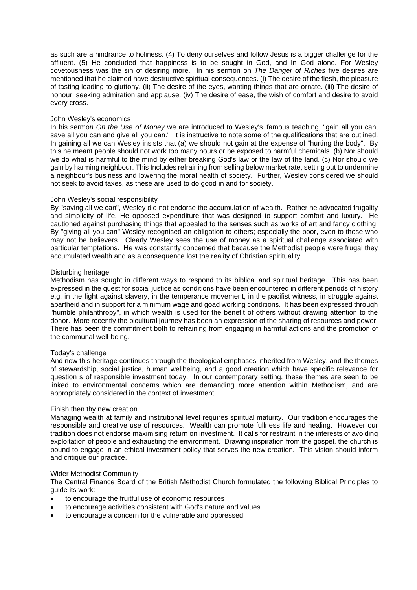as such are a hindrance to holiness. (4) To deny ourselves and follow Jesus is a bigger challenge for the affluent. (5) He concluded that happiness is to be sought in God, and In God alone. For Wesley covetousness was the sin of desiring more. In his sermon on *The Danger of Riches* five desires are mentioned that he claimed have destructive spiritual consequences. (i) The desire of the flesh, the pleasure of tasting leading to gluttony. (ii) The desire of the eyes, wanting things that are ornate. (iii) The desire of honour, seeking admiration and applause. (iv) The desire of ease, the wish of comfort and desire to avoid every cross.

#### John Wesley's economics

In his sermon On the Use of Money we are introduced to Wesley's famous teaching, "gain all you can, save all you can and give all you can." It is instructive to note some of the qualifications that are outlined. In gaining all we can Wesley insists that (a) we should not gain at the expense of "hurting the body". By this he meant people should not work too many hours or be exposed to harmful chemicals. (b) Nor should we do what is harmful to the mind by either breaking God's law or the law of the land. (c) Nor should we gain by harming neighbour. This Includes refraining from selling below market rate, setting out to undermine a neighbour's business and lowering the moral health of society. Further, Wesley considered we should not seek to avoid taxes, as these are used to do good in and for society.

#### John Wesley's social responsibility

By "saving all we can", Wesley did not endorse the accumulation of wealth. Rather he advocated frugality and simplicity of life. He opposed expenditure that was designed to support comfort and luxury. He cautioned against purchasing things that appealed to the senses such as works of art and fancy clothing. By "giving all you can" Wesley recognised an obligation to others; especially the poor, even to those who may not be believers. Clearly Wesley sees the use of money as a spiritual challenge associated with particular temptations. He was constantly concerned that because the Methodist people were frugal they accumulated wealth and as a consequence lost the reality of Christian spirituality.

#### Disturbing heritage

Methodism has sought in different ways to respond to its biblical and spiritual heritage. This has been expressed in the quest for social justice as conditions have been encountered in different periods of history e.g. in the fight against slavery, in the temperance movement, in the pacifist witness, in struggle against apartheid and in support for a minimum wage and goad working conditions. It has been expressed through "humble philanthropy", in which wealth is used for the benefit of others without drawing attention to the donor. More recently the bicultural journey has been an expression of the sharing of resources and power. There has been the commitment both to refraining from engaging in harmful actions and the promotion of the communal well-being.

#### Today's challenge

And now this heritage continues through the theological emphases inherited from Wesley, and the themes of stewardship, social justice, human wellbeing, and a good creation which have specific relevance for question s of responsible investment today. In our contemporary setting, these themes are seen to be linked to environmental concerns which are demanding more attention within Methodism, and are appropriately considered in the context of investment.

#### Finish then thy new creation

Managing wealth at family and institutional level requires spiritual maturity. Our tradition encourages the responsible and creative use of resources. Wealth can promote fullness life and healing. However our tradition does not endorse maximising return on investment. It calls for restraint in the interests of avoiding exploitation of people and exhausting the environment. Drawing inspiration from the gospel, the church is bound to engage in an ethical investment policy that serves the new creation. This vision should inform and critique our practice.

#### Wider Methodist Community

The Central Finance Board of the British Methodist Church formulated the following Biblical Principles to quide its work:

- to encourage the fruitful use of economic resources
- to encourage activities consistent with God's nature and values
- to encourage a concern for the vulnerable and oppressed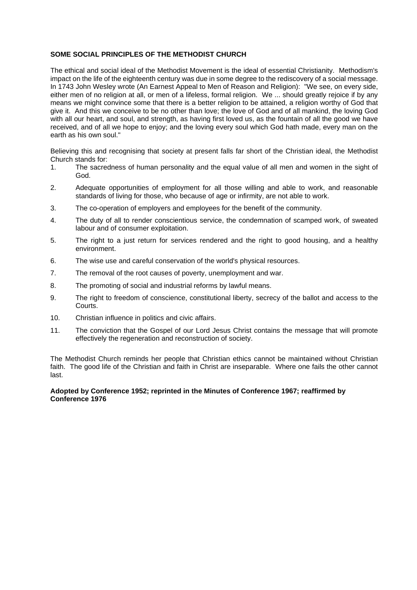#### **SOME SOCIAL PRINCIPLES OF THE METHODIST CHURCH**

The ethical and social ideal of the Methodist Movement is the ideal of essential Christianity. Methodism's impact on the life of the eighteenth century was due in some degree to the rediscovery of a social message. In 1743 John Wesley wrote (An Earnest Appeal to Men of Reason and Religion): "We see, on every side, either men of no religion at all, or men of a lifeless, formal religion. We ... should greatly rejoice if by any means we might convince some that there is a better religion to be attained, a religion worthy of God that give it. And this we conceive to be no other than love; the love of God and of all mankind, the loving God with all our heart, and soul, and strength, as having first loved us, as the fountain of all the good we have received, and of all we hope to enjoy; and the loving every soul which God hath made, every man on the earth as his own soul."

Believing this and recognising that society at present falls far short of the Christian ideal, the Methodist Church stands for:

- 1. The sacredness of human personality and the equal value of all men and women in the sight of God.
- 2. Adequate opportunities of employment for all those willing and able to work, and reasonable standards of living for those, who because of age or infirmity, are not able to work.
- 3. The co-operation of employers and employees for the benefit of the community.
- 4. The duty of all to render conscientious service, the condemnation of scamped work, of sweated labour and of consumer exploitation.
- 5. The right to a just return for services rendered and the right to good housing, and a healthy environment.
- 6. The wise use and careful conservation of the world's physical resources.
- 7. The removal of the root causes of poverty, unemployment and war.
- 8. The promoting of social and industrial reforms by lawful means.
- 9. The right to freedom of conscience, constitutional liberty, secrecy of the ballot and access to the Courts.
- 10. Christian influence in politics and civic affairs.
- 11. The conviction that the Gospel of our Lord Jesus Christ contains the message that will promote effectively the regeneration and reconstruction of society.

The Methodist Church reminds her people that Christian ethics cannot be maintained without Christian faith. The good life of the Christian and faith in Christ are inseparable. Where one fails the other cannot last.

#### **Adopted by Conference 1952; reprinted in the Minutes of Conference 1967; reaffirmed by Conference 1976**